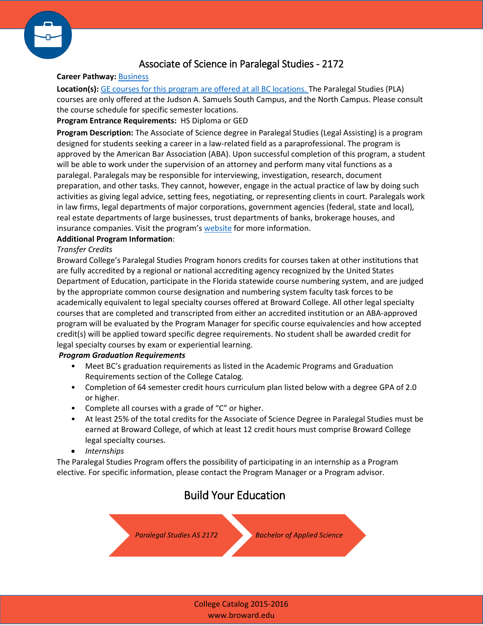

## Associate of Science in Paralegal Studies - 2172

### **Career Pathway:** [Business](http://www.broward.edu/academics/programs/Pages/business.aspx)

**Location(s):** [GE courses for this program are offered at all BC locations.](http://www.broward.edu/locations/Pages/default.aspx) The Paralegal Studies (PLA) courses are only offered at the Judson A. Samuels South Campus, and the North Campus. Please consult the course schedule for specific semester locations.

### **Program Entrance Requirements:** HS Diploma or GED

**Program Description:** The Associate of Science degree in Paralegal Studies (Legal Assisting) is a program designed for students seeking a career in a law-related field as a paraprofessional. The program is approved by the American Bar Association (ABA). Upon successful completion of this program, a student will be able to work under the supervision of an attorney and perform many vital functions as a paralegal. Paralegals may be responsible for interviewing, investigation, research, document preparation, and other tasks. They cannot, however, engage in the actual practice of law by doing such activities as giving legal advice, setting fees, negotiating, or representing clients in court. Paralegals work in law firms, legal departments of major corporations, government agencies (federal, state and local), real estate departments of large businesses, trust departments of banks, brokerage houses, and insurance companies. Visit the program's [website](http://www.broward.edu/academics/programs/paralegalstudies/Pages/default.aspx) for more information.

### **Additional Program Information**:

#### *Transfer Credits*

Broward College's Paralegal Studies Program honors credits for courses taken at other institutions that are fully accredited by a regional or national accrediting agency recognized by the United States Department of Education, participate in the Florida statewide course numbering system, and are judged by the appropriate common course designation and numbering system faculty task forces to be academically equivalent to legal specialty courses offered at Broward College. All other legal specialty courses that are completed and transcripted from either an accredited institution or an ABA-approved program will be evaluated by the Program Manager for specific course equivalencies and how accepted credit(s) will be applied toward specific degree requirements. No student shall be awarded credit for legal specialty courses by exam or experiential learning.

#### *Program Graduation Requirements*

- Meet BC's graduation requirements as listed in the Academic Programs and Graduation Requirements section of the College Catalog.
- Completion of 64 semester credit hours curriculum plan listed below with a degree GPA of 2.0 or higher.
- Complete all courses with a grade of "C" or higher.
- At least 25% of the total credits for the Associate of Science Degree in Paralegal Studies must be earned at Broward College, of which at least 12 credit hours must comprise Broward College legal specialty courses.
- *Internships*

The Paralegal Studies Program offers the possibility of participating in an internship as a Program elective. For specific information, please contact the Program Manager or a Program advisor.

# Build Your Education

*[Paralegal Studies AS 2172](http://www.broward.edu/academics/programs/Program Sheet Library/2172.pdf) [Bachelor of Applied Science](http://www.broward.edu/academics/programs/Pages/bachelors.aspx)*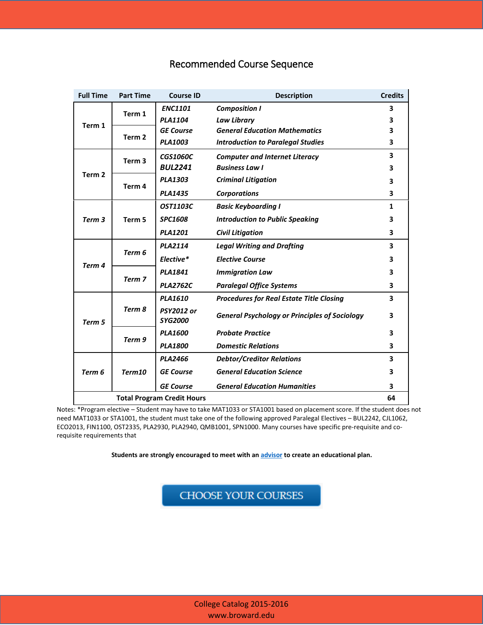# Recommended Course Sequence

| <b>Full Time</b>                  | <b>Part Time</b>  | <b>Course ID</b>                    | <b>Description</b>                                   | <b>Credits</b> |
|-----------------------------------|-------------------|-------------------------------------|------------------------------------------------------|----------------|
| Term 1                            | Term 1            | <b>ENC1101</b>                      | <b>Composition I</b>                                 | 3              |
|                                   |                   | <b>PLA1104</b>                      | <b>Law Library</b>                                   | 3              |
|                                   | Term <sub>2</sub> | <b>GE Course</b>                    | <b>General Education Mathematics</b>                 | 3              |
|                                   |                   | <b>PLA1003</b>                      | <b>Introduction to Paralegal Studies</b>             | 3              |
| Term <sub>2</sub>                 | Term <sub>3</sub> | <b>CGS1060C</b>                     | <b>Computer and Internet Literacy</b>                | 3              |
|                                   |                   | <b>BUL2241</b>                      | <b>Business Law I</b>                                | 3              |
|                                   | Term 4            | <b>PLA1303</b>                      | <b>Criminal Litigation</b>                           | 3              |
|                                   |                   | <b>PLA1435</b>                      | <b>Corporations</b>                                  | 3              |
| Term 3                            | Term 5            | <b>OST1103C</b>                     | <b>Basic Keyboarding I</b>                           | 1              |
|                                   |                   | <b>SPC1608</b>                      | <b>Introduction to Public Speaking</b>               | 3              |
|                                   |                   | <b>PLA1201</b>                      | <b>Civil Litigation</b>                              | 3              |
| Term 4                            | Term 6            | <b>PLA2114</b>                      | <b>Legal Writing and Drafting</b>                    | 3              |
|                                   |                   | Elective*                           | <b>Elective Course</b>                               | 3              |
|                                   | Term 7            | <b>PLA1841</b>                      | <b>Immigration Law</b>                               | 3              |
|                                   |                   | <b>PLA2762C</b>                     | <b>Paralegal Office Systems</b>                      | 3              |
| Term 5                            | Term 8            | <b>PLA1610</b>                      | <b>Procedures for Real Estate Title Closing</b>      | 3              |
|                                   |                   | <b>PSY2012 or</b><br><b>SYG2000</b> | <b>General Psychology or Principles of Sociology</b> | 3              |
|                                   | Term 9            | <b>PLA1600</b>                      | <b>Probate Practice</b>                              | 3              |
|                                   |                   | <b>PLA1800</b>                      | <b>Domestic Relations</b>                            | 3              |
| Term 6                            | Term10            | <b>PLA2466</b>                      | <b>Debtor/Creditor Relations</b>                     | 3              |
|                                   |                   | <b>GE Course</b>                    | <b>General Education Science</b>                     | 3              |
|                                   |                   | <b>GE Course</b>                    | <b>General Education Humanities</b>                  | 3              |
| <b>Total Program Credit Hours</b> |                   |                                     |                                                      | 64             |

Notes: \*Program elective – Student may have to take MAT1033 or STA1001 based on placement score. If the student does not need MAT1033 or STA1001, the student must take one of the following approved Paralegal Electives – BUL2242, CJL1062, ECO2013, FIN1100, OST2335, PLA2930, PLA2940, QMB1001, SPN1000. Many courses have specific pre-requisite and corequisite requirements that

 **Students are strongly encouraged to meet with a[n advisor](http://www.broward.edu/studentresources/advising/Pages/default.aspx) to create an educational plan.**

CHOOSE YOUR COURSES